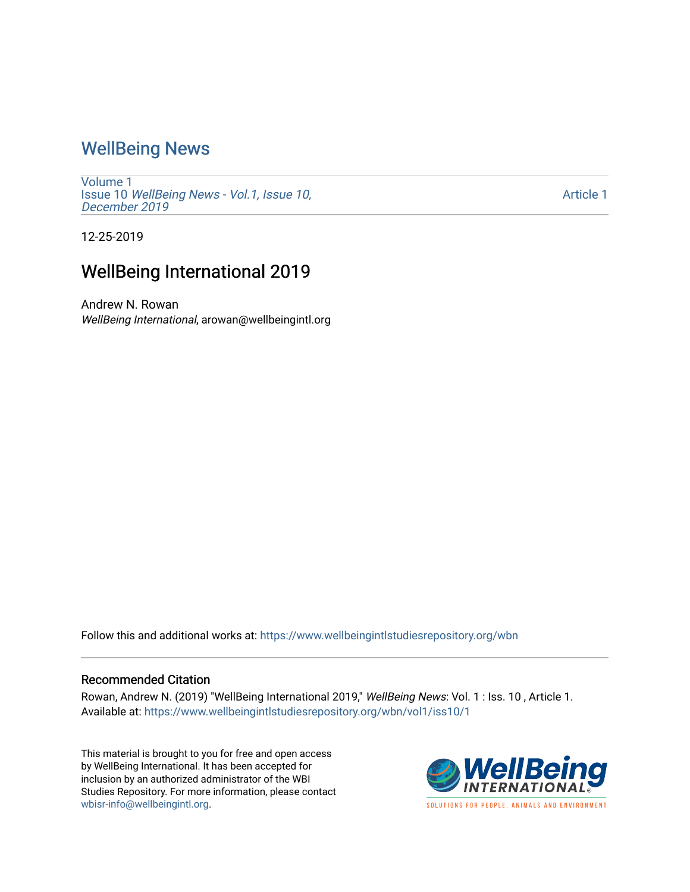## [WellBeing News](https://www.wellbeingintlstudiesrepository.org/wbn)

[Volume 1](https://www.wellbeingintlstudiesrepository.org/wbn/vol1) Issue 10 [WellBeing News - Vol.1, Issue 10,](https://www.wellbeingintlstudiesrepository.org/wbn/vol1/iss10) [December 2019](https://www.wellbeingintlstudiesrepository.org/wbn/vol1/iss10)

[Article 1](https://www.wellbeingintlstudiesrepository.org/wbn/vol1/iss10/1) 

12-25-2019

## WellBeing International 2019

Andrew N. Rowan WellBeing International, arowan@wellbeingintl.org

Follow this and additional works at: [https://www.wellbeingintlstudiesrepository.org/wbn](https://www.wellbeingintlstudiesrepository.org/wbn?utm_source=www.wellbeingintlstudiesrepository.org%2Fwbn%2Fvol1%2Fiss10%2F1&utm_medium=PDF&utm_campaign=PDFCoverPages)

## Recommended Citation

Rowan, Andrew N. (2019) "WellBeing International 2019," WellBeing News: Vol. 1 : Iss. 10 , Article 1. Available at: [https://www.wellbeingintlstudiesrepository.org/wbn/vol1/iss10/1](https://www.wellbeingintlstudiesrepository.org/wbn/vol1/iss10/1?utm_source=www.wellbeingintlstudiesrepository.org%2Fwbn%2Fvol1%2Fiss10%2F1&utm_medium=PDF&utm_campaign=PDFCoverPages) 

This material is brought to you for free and open access by WellBeing International. It has been accepted for inclusion by an authorized administrator of the WBI Studies Repository. For more information, please contact [wbisr-info@wellbeingintl.org](mailto:wbisr-info@wellbeingintl.org).

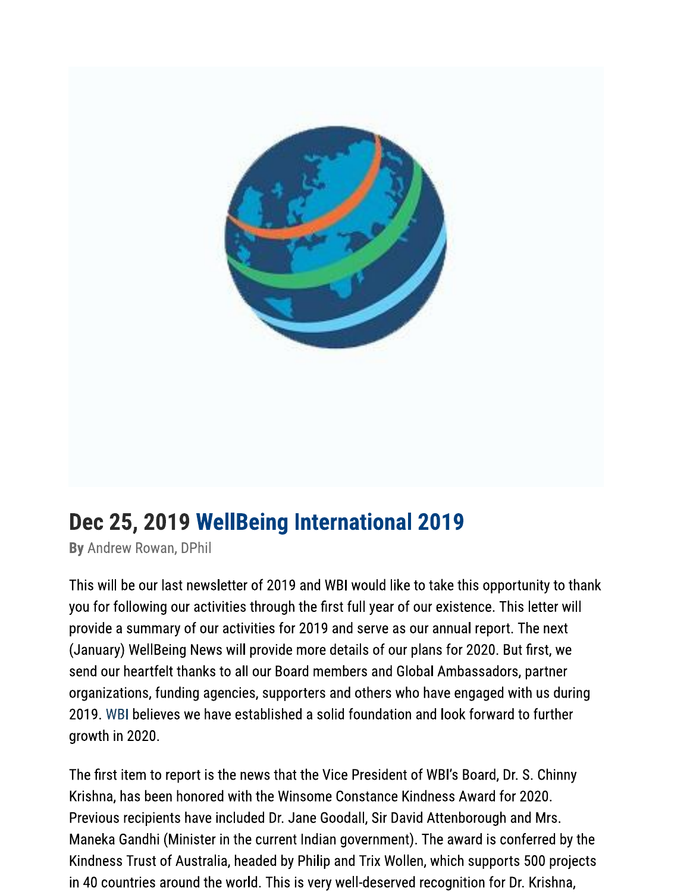

## Dec 25, 2019 WellBeing International 2019

By Andrew Rowan, DPhil

This will be our last newsletter of 2019 and WBI would like to take this opportunity to thank you for following our activities through the first full year of our existence. This letter will provide a summary of our activities for 2019 and serve as our annual report. The next (January) WellBeing News will provide more details of our plans for 2020. But first, we send our heartfelt thanks to all our Board members and Global Ambassadors, partner organizations, funding agencies, supporters and others who have engaged with us during 2019. WBI believes we have established a solid foundation and look forward to further growth in 2020.

The first item to report is the news that the Vice President of WBI's Board, Dr. S. Chinny Krishna, has been honored with the Winsome Constance Kindness Award for 2020. Previous recipients have included Dr. Jane Goodall, Sir David Attenborough and Mrs. Maneka Gandhi (Minister in the current Indian government). The award is conferred by the Kindness Trust of Australia, headed by Philip and Trix Wollen, which supports 500 projects in 40 countries around the world. This is very well-deserved recognition for Dr. Krishna,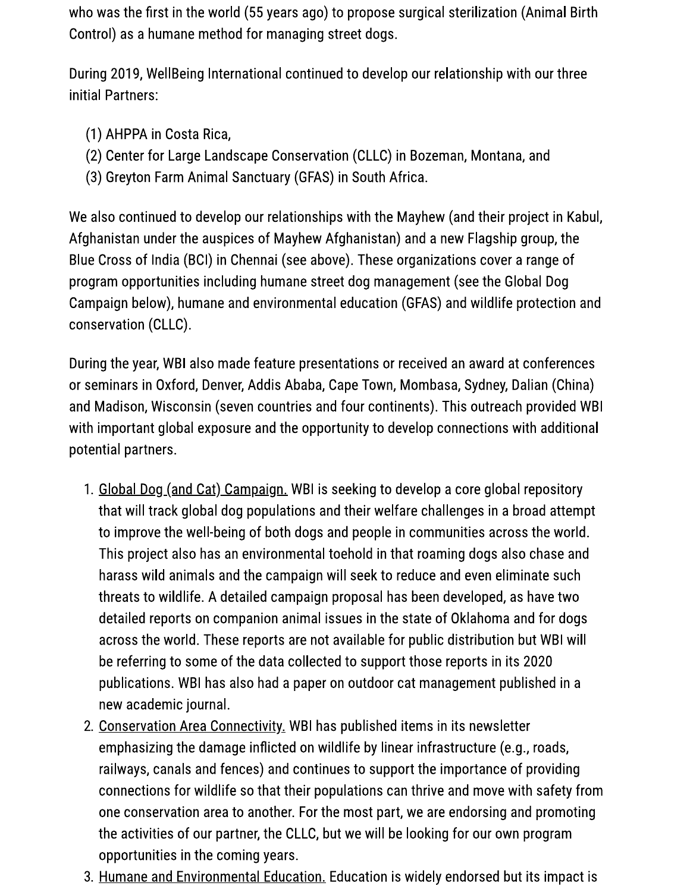who was the first in the world (55 years ago) to propose surgical sterilization (Animal Birth Control) as a humane method for managing street dogs.

During 2019, WellBeing International continued to develop our relationship with our three initial Partners:

- (1) AHPPA in Costa Rica,
- (2) Center for Large Landscape Conservation (CLLC) in Bozeman, Montana, and
- (3) Greyton Farm Animal Sanctuary (GFAS) in South Africa.

We also continued to develop our relationships with the Mayhew (and their project in Kabul, Afghanistan under the auspices of Mayhew Afghanistan) and a new Flagship group, the Blue Cross of India (BCI) in Chennai (see above). These organizations cover a range of program opportunities including humane street dog management (see the Global Dog Campaign below), humane and environmental education (GFAS) and wildlife protection and conservation (CLLC).

During the year, WBI also made feature presentations or received an award at conferences or seminars in Oxford, Denver, Addis Ababa, Cape Town, Mombasa, Sydney, Dalian (China) and Madison, Wisconsin (seven countries and four continents). This outreach provided WBI with important global exposure and the opportunity to develop connections with additional potential partners.

- 1. Global Dog (and Cat) Campaign. WBI is seeking to develop a core global repository that will track global dog populations and their welfare challenges in a broad attempt to improve the well-being of both dogs and people in communities across the world. This project also has an environmental toehold in that roaming dogs also chase and harass wild animals and the campaign will seek to reduce and even eliminate such threats to wildlife. A detailed campaign proposal has been developed, as have two detailed reports on companion animal issues in the state of Oklahoma and for dogs across the world. These reports are not available for public distribution but WBI will be referring to some of the data collected to support those reports in its 2020 publications. WBI has also had a paper on outdoor cat management published in a new academic journal.
- 2. Conservation Area Connectivity. WBI has published items in its newsletter emphasizing the damage inflicted on wildlife by linear infrastructure (e.g., roads, railways, canals and fences) and continues to support the importance of providing connections for wildlife so that their populations can thrive and move with safety from one conservation area to another. For the most part, we are endorsing and promoting the activities of our partner, the CLLC, but we will be looking for our own program opportunities in the coming years.
- 3. Humane and Environmental Education. Education is widely endorsed but its impact is